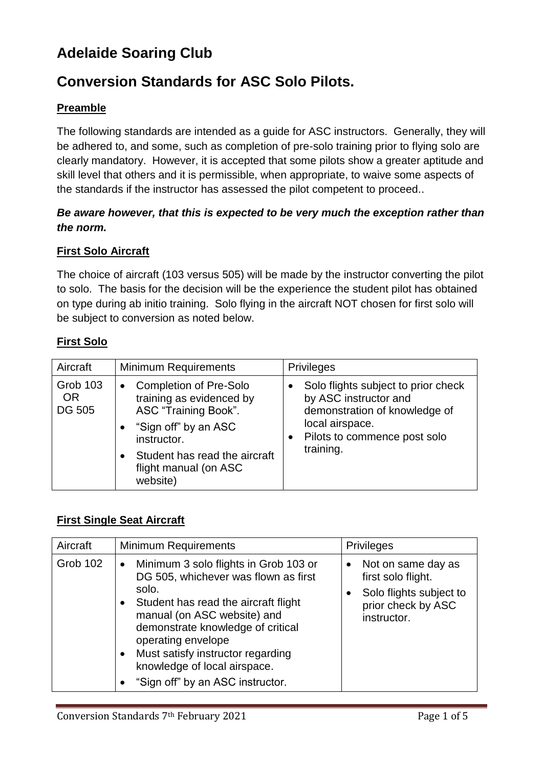# **Adelaide Soaring Club**

# **Conversion Standards for ASC Solo Pilots.**

### **Preamble**

The following standards are intended as a guide for ASC instructors. Generally, they will be adhered to, and some, such as completion of pre-solo training prior to flying solo are clearly mandatory. However, it is accepted that some pilots show a greater aptitude and skill level that others and it is permissible, when appropriate, to waive some aspects of the standards if the instructor has assessed the pilot competent to proceed..

### *Be aware however, that this is expected to be very much the exception rather than the norm.*

### **First Solo Aircraft**

The choice of aircraft (103 versus 505) will be made by the instructor converting the pilot to solo. The basis for the decision will be the experience the student pilot has obtained on type during ab initio training. Solo flying in the aircraft NOT chosen for first solo will be subject to conversion as noted below.

### **First Solo**

| Aircraft                                      | <b>Minimum Requirements</b>                                                                                                                                                                                 | <b>Privileges</b>                                                                                                                                             |
|-----------------------------------------------|-------------------------------------------------------------------------------------------------------------------------------------------------------------------------------------------------------------|---------------------------------------------------------------------------------------------------------------------------------------------------------------|
| <b>Grob 103</b><br><b>OR</b><br><b>DG 505</b> | <b>Completion of Pre-Solo</b><br>$\bullet$<br>training as evidenced by<br>ASC "Training Book".<br>"Sign off" by an ASC<br>instructor.<br>Student has read the aircraft<br>flight manual (on ASC<br>website) | Solo flights subject to prior check<br>by ASC instructor and<br>demonstration of knowledge of<br>local airspace.<br>Pilots to commence post solo<br>training. |

### **First Single Seat Aircraft**

| Aircraft | <b>Minimum Requirements</b>                                                                                                                                                                                                                                                                                                                                              | <b>Privileges</b>                                                                                        |
|----------|--------------------------------------------------------------------------------------------------------------------------------------------------------------------------------------------------------------------------------------------------------------------------------------------------------------------------------------------------------------------------|----------------------------------------------------------------------------------------------------------|
| Grob 102 | Minimum 3 solo flights in Grob 103 or<br>$\bullet$<br>DG 505, whichever was flown as first<br>solo.<br>Student has read the aircraft flight<br>$\bullet$<br>manual (on ASC website) and<br>demonstrate knowledge of critical<br>operating envelope<br>Must satisfy instructor regarding<br>$\bullet$<br>knowledge of local airspace.<br>"Sign off" by an ASC instructor. | Not on same day as<br>first solo flight.<br>Solo flights subject to<br>prior check by ASC<br>instructor. |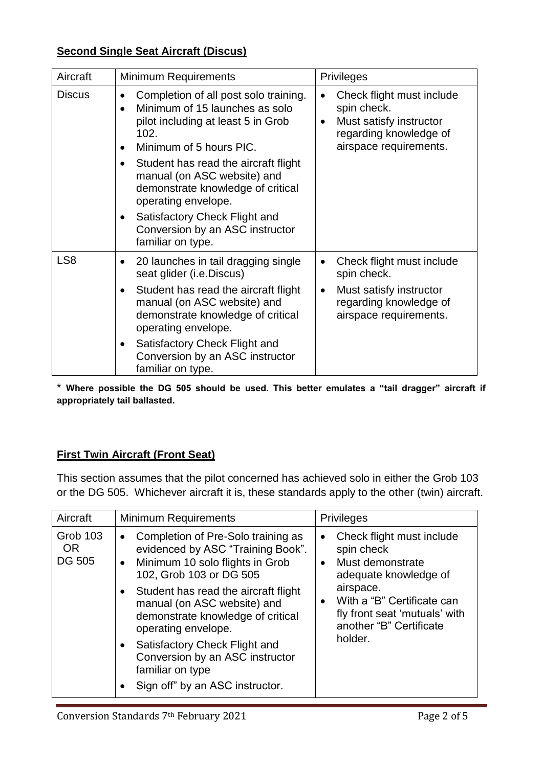### **Second Single Seat Aircraft (Discus)**

| Aircraft        | <b>Minimum Requirements</b>                                                                                                                                                                                                                                                                                                                                                                                                                   | <b>Privileges</b>                                                                                                                    |
|-----------------|-----------------------------------------------------------------------------------------------------------------------------------------------------------------------------------------------------------------------------------------------------------------------------------------------------------------------------------------------------------------------------------------------------------------------------------------------|--------------------------------------------------------------------------------------------------------------------------------------|
| <b>Discus</b>   | Completion of all post solo training.<br>$\bullet$<br>Minimum of 15 launches as solo<br>$\bullet$<br>pilot including at least 5 in Grob<br>102.<br>Minimum of 5 hours PIC.<br>$\bullet$<br>Student has read the aircraft flight<br>$\bullet$<br>manual (on ASC website) and<br>demonstrate knowledge of critical<br>operating envelope.<br>Satisfactory Check Flight and<br>$\bullet$<br>Conversion by an ASC instructor<br>familiar on type. | Check flight must include<br>spin check.<br>Must satisfy instructor<br>$\bullet$<br>regarding knowledge of<br>airspace requirements. |
| LS <sub>8</sub> | 20 launches in tail dragging single<br>$\bullet$<br>seat glider (i.e.Discus)<br>Student has read the aircraft flight<br>$\bullet$<br>manual (on ASC website) and<br>demonstrate knowledge of critical<br>operating envelope.<br>Satisfactory Check Flight and<br>$\bullet$<br>Conversion by an ASC instructor<br>familiar on type.                                                                                                            | Check flight must include<br>spin check.<br>Must satisfy instructor<br>$\bullet$<br>regarding knowledge of<br>airspace requirements. |

\* **Where possible the DG 505 should be used. This better emulates a "tail dragger" aircraft if appropriately tail ballasted.**

## **First Twin Aircraft (Front Seat)**

This section assumes that the pilot concerned has achieved solo in either the Grob 103 or the DG 505. Whichever aircraft it is, these standards apply to the other (twin) aircraft.

| Aircraft                                      | <b>Minimum Requirements</b>                                                                                                                                                                                                                                                                                                                                                                                                                             | <b>Privileges</b>                                                                                                                                                                                                                             |
|-----------------------------------------------|---------------------------------------------------------------------------------------------------------------------------------------------------------------------------------------------------------------------------------------------------------------------------------------------------------------------------------------------------------------------------------------------------------------------------------------------------------|-----------------------------------------------------------------------------------------------------------------------------------------------------------------------------------------------------------------------------------------------|
| <b>Grob 103</b><br><b>OR</b><br><b>DG 505</b> | Completion of Pre-Solo training as<br>$\bullet$<br>evidenced by ASC "Training Book".<br>Minimum 10 solo flights in Grob<br>$\bullet$<br>102, Grob 103 or DG 505<br>Student has read the aircraft flight<br>$\bullet$<br>manual (on ASC website) and<br>demonstrate knowledge of critical<br>operating envelope.<br>Satisfactory Check Flight and<br>$\bullet$<br>Conversion by an ASC instructor<br>familiar on type<br>Sign off" by an ASC instructor. | Check flight must include<br>$\bullet$<br>spin check<br>Must demonstrate<br>$\bullet$<br>adequate knowledge of<br>airspace.<br>With a "B" Certificate can<br>$\bullet$<br>fly front seat 'mutuals' with<br>another "B" Certificate<br>holder. |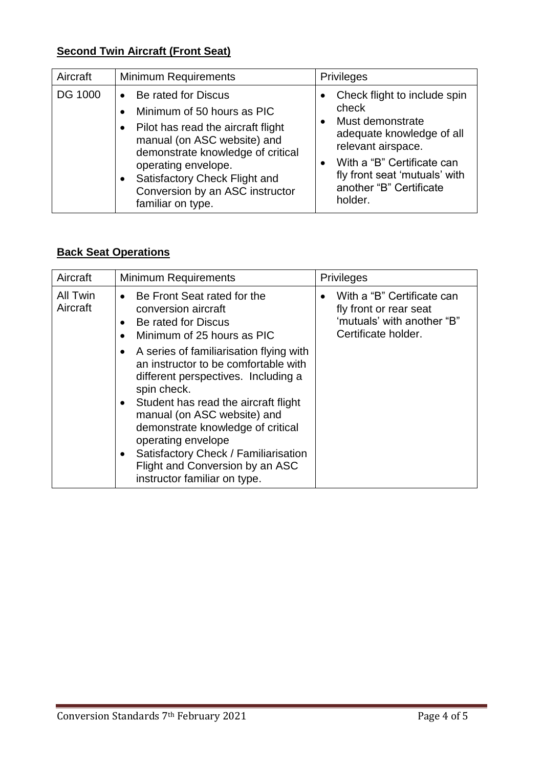## **Second Twin Aircraft (Front Seat)**

| Aircraft       | <b>Minimum Requirements</b>                                                                                                                                                                                                                                                                           | <b>Privileges</b>                                                                                                                                                                                                                           |
|----------------|-------------------------------------------------------------------------------------------------------------------------------------------------------------------------------------------------------------------------------------------------------------------------------------------------------|---------------------------------------------------------------------------------------------------------------------------------------------------------------------------------------------------------------------------------------------|
| <b>DG 1000</b> | Be rated for Discus<br>Minimum of 50 hours as PIC<br>Pilot has read the aircraft flight<br>$\bullet$<br>manual (on ASC website) and<br>demonstrate knowledge of critical<br>operating envelope.<br>Satisfactory Check Flight and<br>$\bullet$<br>Conversion by an ASC instructor<br>familiar on type. | Check flight to include spin<br>$\bullet$<br>check<br>Must demonstrate<br>$\bullet$<br>adequate knowledge of all<br>relevant airspace.<br>With a "B" Certificate can<br>fly front seat 'mutuals' with<br>another "B" Certificate<br>holder. |

## **Back Seat Operations**

| Aircraft             | <b>Minimum Requirements</b>                                                                                                                                                                                                                                                                                               | <b>Privileges</b>                                                                                                      |
|----------------------|---------------------------------------------------------------------------------------------------------------------------------------------------------------------------------------------------------------------------------------------------------------------------------------------------------------------------|------------------------------------------------------------------------------------------------------------------------|
| All Twin<br>Aircraft | Be Front Seat rated for the<br>$\bullet$<br>conversion aircraft<br>Be rated for Discus<br>$\bullet$<br>Minimum of 25 hours as PIC<br>$\bullet$<br>A series of familiarisation flying with<br>٠<br>an instructor to be comfortable with                                                                                    | With a "B" Certificate can<br>$\bullet$<br>fly front or rear seat<br>'mutuals' with another "B"<br>Certificate holder. |
|                      | different perspectives. Including a<br>spin check.<br>Student has read the aircraft flight<br>$\bullet$<br>manual (on ASC website) and<br>demonstrate knowledge of critical<br>operating envelope<br>Satisfactory Check / Familiarisation<br>$\bullet$<br>Flight and Conversion by an ASC<br>instructor familiar on type. |                                                                                                                        |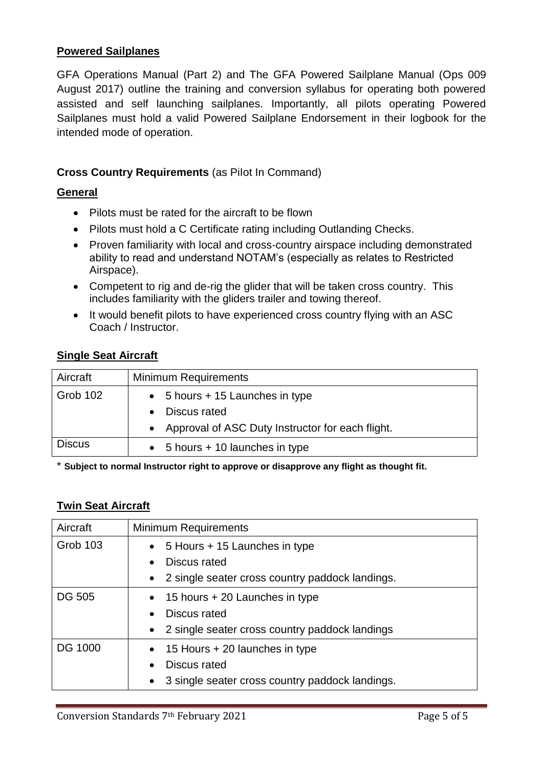### **Powered Sailplanes**

GFA Operations Manual (Part 2) and The GFA Powered Sailplane Manual (Ops 009 August 2017) outline the training and conversion syllabus for operating both powered assisted and self launching sailplanes. Importantly, all pilots operating Powered Sailplanes must hold a valid Powered Sailplane Endorsement in their logbook for the intended mode of operation.

### **Cross Country Requirements** (as PiIot In Command)

### **General**

- Pilots must be rated for the aircraft to be flown
- Pilots must hold a C Certificate rating including Outlanding Checks.
- Proven familiarity with local and cross-country airspace including demonstrated ability to read and understand NOTAM's (especially as relates to Restricted Airspace).
- Competent to rig and de-rig the glider that will be taken cross country. This includes familiarity with the gliders trailer and towing thereof.
- It would benefit pilots to have experienced cross country flying with an ASC Coach / Instructor.

### **Single Seat Aircraft**

| Aircraft      | <b>Minimum Requirements</b>                             |
|---------------|---------------------------------------------------------|
| Grob 102      | $\bullet$ 5 hours + 15 Launches in type<br>Discus rated |
|               | • Approval of ASC Duty Instructor for each flight.      |
| <b>Discus</b> | $\bullet$ 5 hours + 10 launches in type                 |

\* **Subject to normal Instructor right to approve or disapprove any flight as thought fit.**

#### **Twin Seat Aircraft**

| Aircraft        | <b>Minimum Requirements</b>                                  |
|-----------------|--------------------------------------------------------------|
| <b>Grob 103</b> | $\bullet$ 5 Hours + 15 Launches in type                      |
|                 | Discus rated                                                 |
|                 | • 2 single seater cross country paddock landings.            |
| <b>DG 505</b>   | $\bullet$ 15 hours + 20 Launches in type                     |
|                 | Discus rated<br>$\bullet$                                    |
|                 | • 2 single seater cross country paddock landings             |
| <b>DG 1000</b>  | $\bullet$ 15 Hours + 20 launches in type                     |
|                 | Discus rated<br>$\bullet$                                    |
|                 | 3 single seater cross country paddock landings.<br>$\bullet$ |